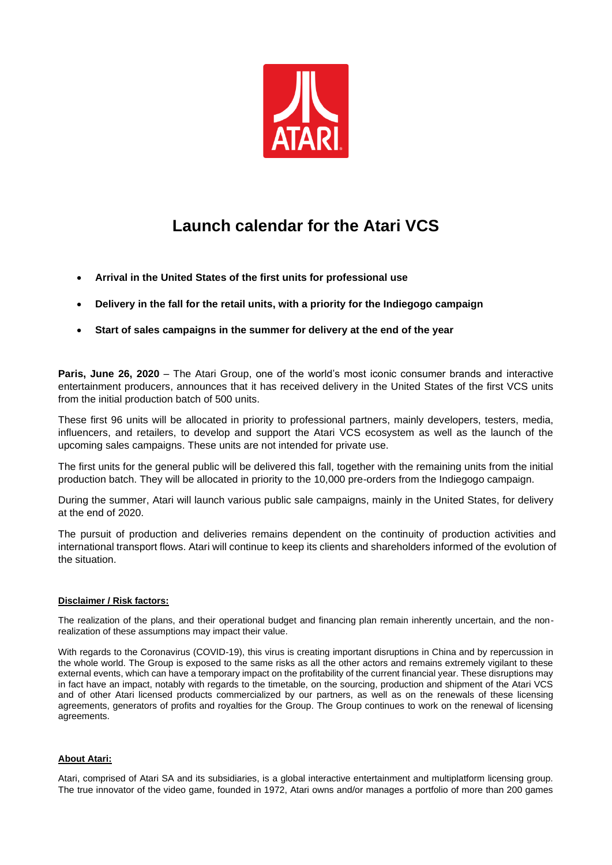

## **Launch calendar for the Atari VCS**

- **Arrival in the United States of the first units for professional use**
- **Delivery in the fall for the retail units, with a priority for the Indiegogo campaign**
- **Start of sales campaigns in the summer for delivery at the end of the year**

**Paris, June 26, 2020** – The Atari Group, one of the world's most iconic consumer brands and interactive entertainment producers, announces that it has received delivery in the United States of the first VCS units from the initial production batch of 500 units.

These first 96 units will be allocated in priority to professional partners, mainly developers, testers, media, influencers, and retailers, to develop and support the Atari VCS ecosystem as well as the launch of the upcoming sales campaigns. These units are not intended for private use.

The first units for the general public will be delivered this fall, together with the remaining units from the initial production batch. They will be allocated in priority to the 10,000 pre-orders from the Indiegogo campaign.

During the summer, Atari will launch various public sale campaigns, mainly in the United States, for delivery at the end of 2020.

The pursuit of production and deliveries remains dependent on the continuity of production activities and international transport flows. Atari will continue to keep its clients and shareholders informed of the evolution of the situation.

## **Disclaimer / Risk factors:**

The realization of the plans, and their operational budget and financing plan remain inherently uncertain, and the nonrealization of these assumptions may impact their value.

With regards to the Coronavirus (COVID-19), this virus is creating important disruptions in China and by repercussion in the whole world. The Group is exposed to the same risks as all the other actors and remains extremely vigilant to these external events, which can have a temporary impact on the profitability of the current financial year. These disruptions may in fact have an impact, notably with regards to the timetable, on the sourcing, production and shipment of the Atari VCS and of other Atari licensed products commercialized by our partners, as well as on the renewals of these licensing agreements, generators of profits and royalties for the Group. The Group continues to work on the renewal of licensing agreements.

## **About Atari:**

Atari, comprised of Atari SA and its subsidiaries, is a global interactive entertainment and multiplatform licensing group. The true innovator of the video game, founded in 1972, Atari owns and/or manages a portfolio of more than 200 games